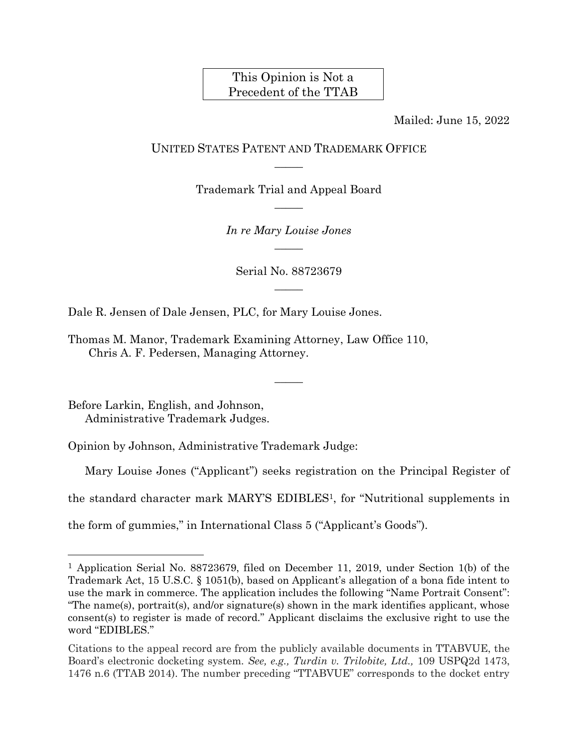# This Opinion is Not a Precedent of the TTAB

Mailed: June 15, 2022

# UNITED STATES PATENT AND TRADEMARK OFFICE  $\overline{\phantom{a}}$

Trademark Trial and Appeal Board  $\overline{\phantom{a}}$ 

> *In re Mary Louise Jones*  $\overline{\phantom{a}}$

Serial No. 88723679  $\overline{\phantom{a}}$ 

 $\overline{\phantom{a}}$ 

Dale R. Jensen of Dale Jensen, PLC, for Mary Louise Jones.

Thomas M. Manor, Trademark Examining Attorney, Law Office 110, Chris A. F. Pedersen, Managing Attorney.

Before Larkin, English, and Johnson, Administrative Trademark Judges.

 $\overline{a}$ 

Opinion by Johnson, Administrative Trademark Judge:

Mary Louise Jones ("Applicant") seeks registration on the Principal Register of

the standard character mark MARY'S EDIBLES1, for "Nutritional supplements in

the form of gummies," in International Class 5 ("Applicant's Goods").

<sup>1</sup> Application Serial No. 88723679, filed on December 11, 2019, under Section 1(b) of the Trademark Act, 15 U.S.C. § 1051(b), based on Applicant's allegation of a bona fide intent to use the mark in commerce. The application includes the following "Name Portrait Consent": "The name(s), portrait(s), and/or signature(s) shown in the mark identifies applicant, whose consent(s) to register is made of record." Applicant disclaims the exclusive right to use the word "EDIBLES."

Citations to the appeal record are from the publicly available documents in TTABVUE, the Board's electronic docketing system*. See, e.g., Turdin v. Trilobite, Ltd.,* 109 USPQ2d 1473, 1476 n.6 (TTAB 2014). The number preceding "TTABVUE" corresponds to the docket entry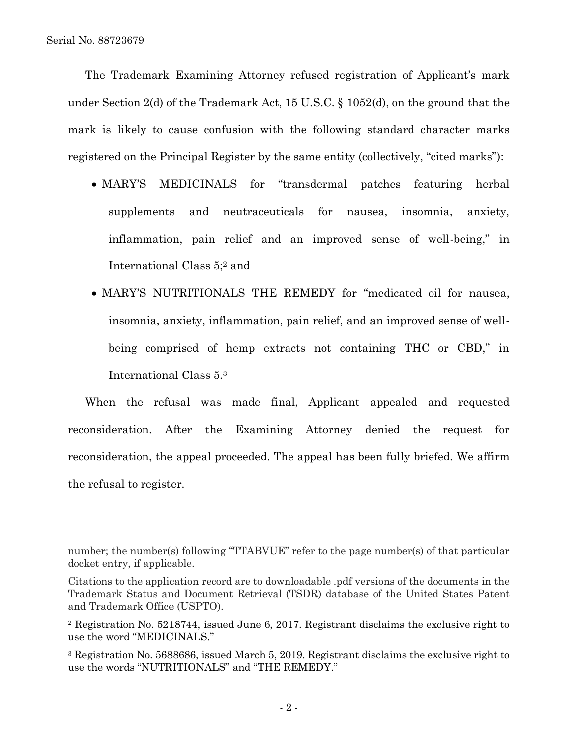The Trademark Examining Attorney refused registration of Applicant's mark under Section 2(d) of the Trademark Act, 15 U.S.C. § 1052(d), on the ground that the mark is likely to cause confusion with the following standard character marks registered on the Principal Register by the same entity (collectively, "cited marks"):

- MARY'S MEDICINALS for "transdermal patches featuring herbal supplements and neutraceuticals for nausea, insomnia, anxiety, inflammation, pain relief and an improved sense of well-being," in International Class 5;<sup>2</sup> and
- MARY'S NUTRITIONALS THE REMEDY for "medicated oil for nausea, insomnia, anxiety, inflammation, pain relief, and an improved sense of wellbeing comprised of hemp extracts not containing THC or CBD," in International Class 5. 3

When the refusal was made final, Applicant appealed and requested reconsideration. After the Examining Attorney denied the request for reconsideration, the appeal proceeded. The appeal has been fully briefed. We affirm the refusal to register.

number; the number(s) following "TTABVUE" refer to the page number(s) of that particular docket entry, if applicable.

Citations to the application record are to downloadable .pdf versions of the documents in the Trademark Status and Document Retrieval (TSDR) database of the United States Patent and Trademark Office (USPTO).

<sup>2</sup> Registration No. 5218744, issued June 6, 2017. Registrant disclaims the exclusive right to use the word "MEDICINALS."

<sup>3</sup> Registration No. 5688686, issued March 5, 2019. Registrant disclaims the exclusive right to use the words "NUTRITIONALS" and "THE REMEDY."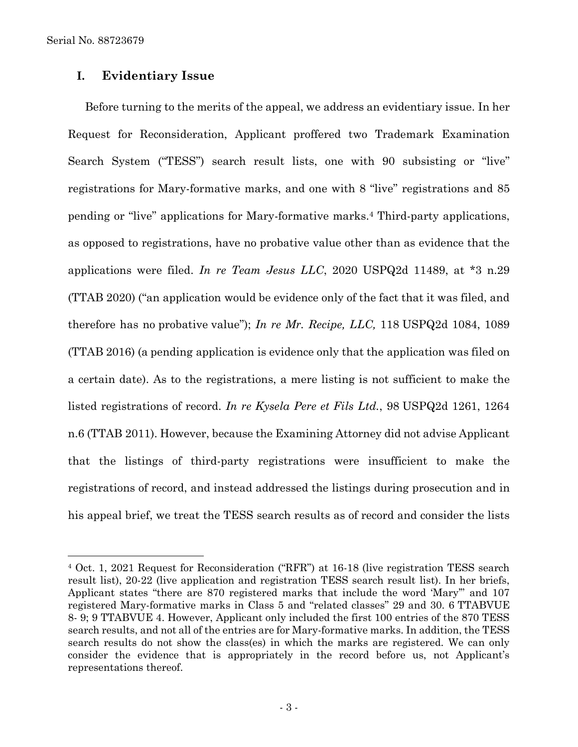Serial No. 88723679

l

## **I. Evidentiary Issue**

Before turning to the merits of the appeal, we address an evidentiary issue. In her Request for Reconsideration, Applicant proffered two Trademark Examination Search System ("TESS") search result lists, one with 90 subsisting or "live" registrations for Mary-formative marks, and one with 8 "live" registrations and 85 pending or "live" applications for Mary-formative marks. <sup>4</sup> Third-party applications, as opposed to registrations, have no probative value other than as evidence that the applications were filed. *In re Team Jesus LLC*, 2020 USPQ2d 11489, at \*3 n.29 (TTAB 2020) ("an application would be evidence only of the fact that it was filed, and therefore has no probative value"); *In re Mr. Recipe, LLC,* 118 USPQ2d 1084, 1089 (TTAB 2016) (a pending application is evidence only that the application was filed on a certain date). As to the registrations, a mere listing is not sufficient to make the listed registrations of record. *In re Kysela Pere et Fils Ltd.*, 98 USPQ2d 1261, 1264 n.6 (TTAB 2011). However, because the Examining Attorney did not advise Applicant that the listings of third-party registrations were insufficient to make the registrations of record, and instead addressed the listings during prosecution and in his appeal brief, we treat the TESS search results as of record and consider the lists

<sup>4</sup> Oct. 1, 2021 Request for Reconsideration ("RFR") at 16-18 (live registration TESS search result list), 20-22 (live application and registration TESS search result list). In her briefs, Applicant states "there are 870 registered marks that include the word 'Mary'" and 107 registered Mary-formative marks in Class 5 and "related classes" 29 and 30. 6 TTABVUE 8- 9; 9 TTABVUE 4. However, Applicant only included the first 100 entries of the 870 TESS search results, and not all of the entries are for Mary-formative marks. In addition, the TESS search results do not show the class(es) in which the marks are registered. We can only consider the evidence that is appropriately in the record before us, not Applicant's representations thereof.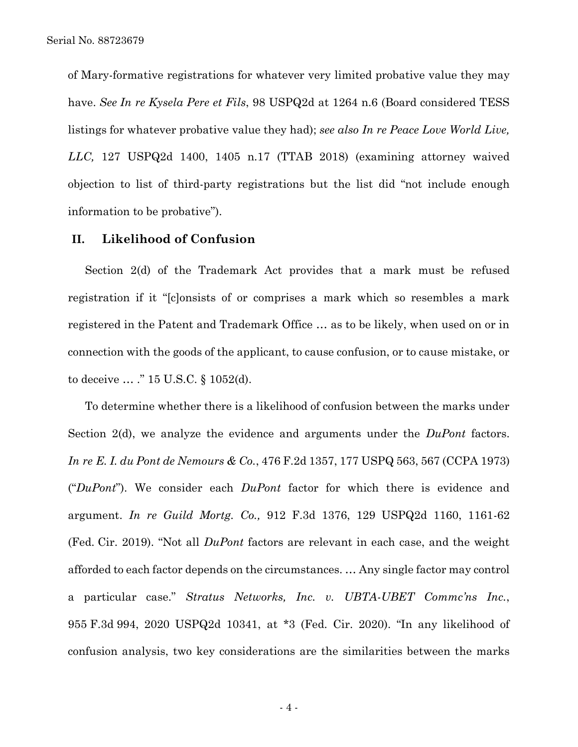of Mary-formative registrations for whatever very limited probative value they may have. *See In re Kysela Pere et Fils*, 98 USPQ2d at 1264 n.6 (Board considered TESS listings for whatever probative value they had); *see also In re Peace Love World Live, LLC,* 127 USPQ2d 1400, 1405 n.17 (TTAB 2018) (examining attorney waived objection to list of third-party registrations but the list did "not include enough information to be probative").

### **II. Likelihood of Confusion**

Section 2(d) of the Trademark Act provides that a mark must be refused registration if it "[c]onsists of or comprises a mark which so resembles a mark registered in the Patent and Trademark Office … as to be likely, when used on or in connection with the goods of the applicant, to cause confusion, or to cause mistake, or to deceive … ." 15 U.S.C. § 1052(d).

To determine whether there is a likelihood of confusion between the marks under Section 2(d), we analyze the evidence and arguments under the *DuPont* factors. *In re E. I. du Pont de Nemours & Co.*, 476 F.2d 1357, 177 USPQ 563, 567 (CCPA 1973) ("*DuPont*"). We consider each *DuPont* factor for which there is evidence and argument. *In re Guild Mortg. Co.,* 912 F.3d 1376, 129 USPQ2d 1160, 1161-62 (Fed. Cir. 2019). "Not all *DuPont* factors are relevant in each case, and the weight afforded to each factor depends on the circumstances. … Any single factor may control a particular case." *Stratus Networks, Inc. v. UBTA-UBET Commc'ns Inc.*, 955 F.3d 994, 2020 USPQ2d 10341, at \*3 (Fed. Cir. 2020). "In any likelihood of confusion analysis, two key considerations are the similarities between the marks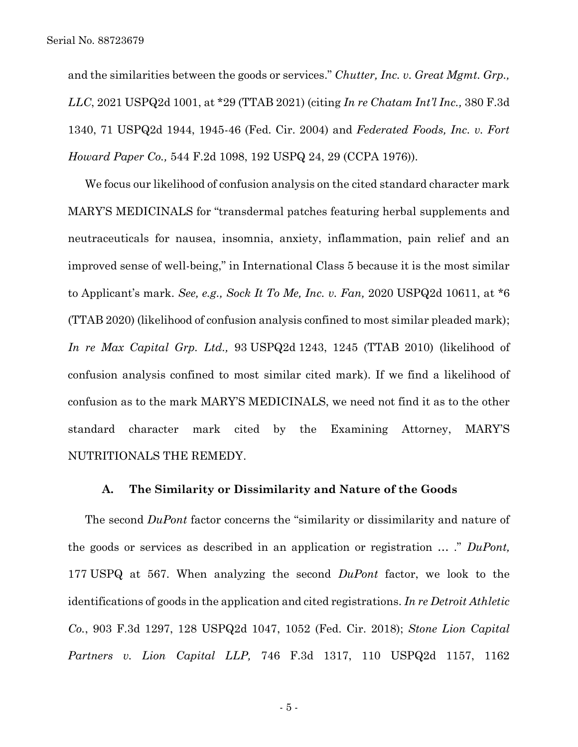and the similarities between the goods or services." *Chutter, Inc. v. Great Mgmt. Grp., LLC*, 2021 USPQ2d 1001, at \*29 (TTAB 2021) (citing *In re Chatam Int'l Inc.,* 380 F.3d 1340, 71 USPQ2d 1944, 1945-46 (Fed. Cir. 2004) and *Federated Foods, Inc. v. Fort Howard Paper Co.,* 544 F.2d 1098, 192 USPQ 24, 29 (CCPA 1976)).

We focus our likelihood of confusion analysis on the cited standard character mark MARY'S MEDICINALS for "transdermal patches featuring herbal supplements and neutraceuticals for nausea, insomnia, anxiety, inflammation, pain relief and an improved sense of well-being," in International Class 5 because it is the most similar to Applicant's mark. *See, e.g., Sock It To Me, Inc. v. Fan,* 2020 USPQ2d 10611, at \*6 (TTAB 2020) (likelihood of confusion analysis confined to most similar pleaded mark); *In re Max Capital Grp. Ltd.,* 93 USPQ2d 1243, 1245 (TTAB 2010) (likelihood of confusion analysis confined to most similar cited mark). If we find a likelihood of confusion as to the mark MARY'S MEDICINALS, we need not find it as to the other standard character mark cited by the Examining Attorney, MARY'S NUTRITIONALS THE REMEDY.

#### **A. The Similarity or Dissimilarity and Nature of the Goods**

The second *DuPont* factor concerns the "similarity or dissimilarity and nature of the goods or services as described in an application or registration … ." *DuPont,*  177 USPQ at 567. When analyzing the second *DuPont* factor, we look to the identifications of goods in the application and cited registrations. *In re Detroit Athletic Co.*, 903 F.3d 1297, 128 USPQ2d 1047, 1052 (Fed. Cir. 2018); *Stone Lion Capital Partners v. Lion Capital LLP,* 746 F.3d 1317, 110 USPQ2d 1157, 1162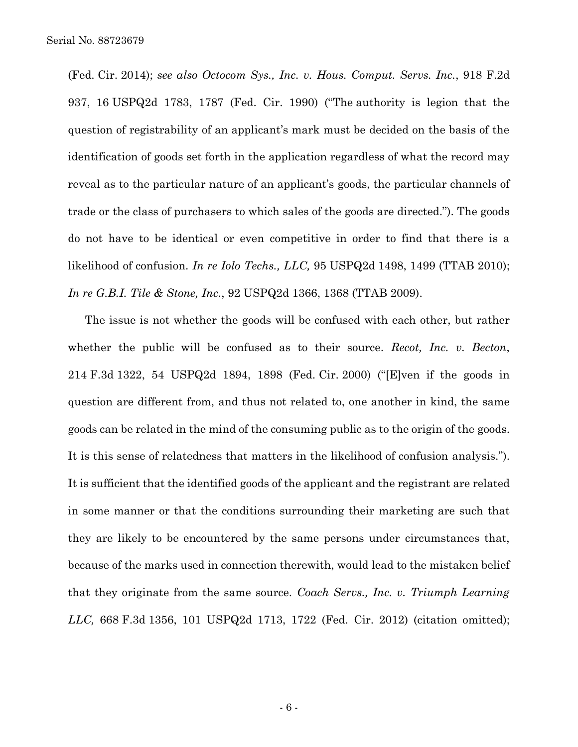(Fed. Cir. 2014); *see also Octocom Sys., Inc. v. Hous. Comput. Servs. Inc.*, 918 F.2d 937, 16 USPQ2d 1783, 1787 (Fed. Cir. 1990) ("The authority is legion that the question of registrability of an applicant's mark must be decided on the basis of the identification of goods set forth in the application regardless of what the record may reveal as to the particular nature of an applicant's goods, the particular channels of trade or the class of purchasers to which sales of the goods are directed."). The goods do not have to be identical or even competitive in order to find that there is a likelihood of confusion. *In re Iolo Techs., LLC,* 95 USPQ2d 1498, 1499 (TTAB 2010); *In re G.B.I. Tile & Stone, Inc.*, 92 USPQ2d 1366, 1368 (TTAB 2009).

The issue is not whether the goods will be confused with each other, but rather whether the public will be confused as to their source. *Recot, Inc. v. Becton*, 214 F.3d 1322, 54 USPQ2d 1894, 1898 (Fed. Cir. 2000) ("[E]ven if the goods in question are different from, and thus not related to, one another in kind, the same goods can be related in the mind of the consuming public as to the origin of the goods. It is this sense of relatedness that matters in the likelihood of confusion analysis."). It is sufficient that the identified goods of the applicant and the registrant are related in some manner or that the conditions surrounding their marketing are such that they are likely to be encountered by the same persons under circumstances that, because of the marks used in connection therewith, would lead to the mistaken belief that they originate from the same source. *Coach Servs., Inc. v. Triumph Learning LLC,* 668 F.3d 1356, 101 USPQ2d 1713, 1722 (Fed. Cir. 2012) (citation omitted);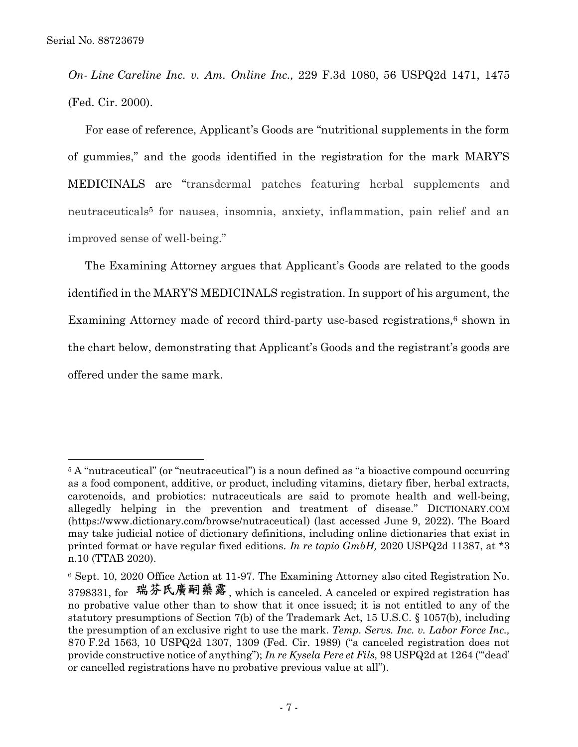*On- Line Careline Inc. v. Am. Online Inc.,* 229 F.3d 1080, 56 USPQ2d 1471, 1475 (Fed. Cir. 2000).

For ease of reference, Applicant's Goods are "nutritional supplements in the form of gummies," and the goods identified in the registration for the mark MARY'S MEDICINALS are "transdermal patches featuring herbal supplements and neutraceuticals<sup>5</sup> for nausea, insomnia, anxiety, inflammation, pain relief and an improved sense of well-being."

The Examining Attorney argues that Applicant's Goods are related to the goods identified in the MARY'S MEDICINALS registration. In support of his argument, the Examining Attorney made of record third-party use-based registrations, <sup>6</sup> shown in the chart below, demonstrating that Applicant's Goods and the registrant's goods are offered under the same mark.

<sup>&</sup>lt;sup>5</sup> A "nutraceutical" (or "neutraceutical") is a noun defined as "a bioactive compound occurring as a food component, additive, or product, including vitamins, dietary fiber, herbal extracts, carotenoids, and probiotics: nutraceuticals are said to promote health and well-being, allegedly helping in the prevention and treatment of disease." DICTIONARY.COM (https://www.dictionary.com/browse/nutraceutical) (last accessed June 9, 2022). The Board may take judicial notice of dictionary definitions, including online dictionaries that exist in printed format or have regular fixed editions. *In re tapio GmbH,* 2020 USPQ2d 11387, at \*3 n.10 (TTAB 2020).

<sup>6</sup> Sept. 10, 2020 Office Action at 11-97. The Examining Attorney also cited Registration No. 3798331, for 瑞芬氏廣嗣藥露, which is canceled. A canceled or expired registration has no probative value other than to show that it once issued; it is not entitled to any of the statutory presumptions of Section 7(b) of the Trademark Act, 15 U.S.C. § 1057(b), including the presumption of an exclusive right to use the mark. *Temp. Servs. Inc. v. Labor Force Inc.,*  870 F.2d 1563, 10 USPQ2d 1307, 1309 (Fed. Cir. 1989) ("a canceled registration does not provide constructive notice of anything"); *In re Kysela Pere et Fils,* 98 USPQ2d at 1264 ("'dead' or cancelled registrations have no probative previous value at all").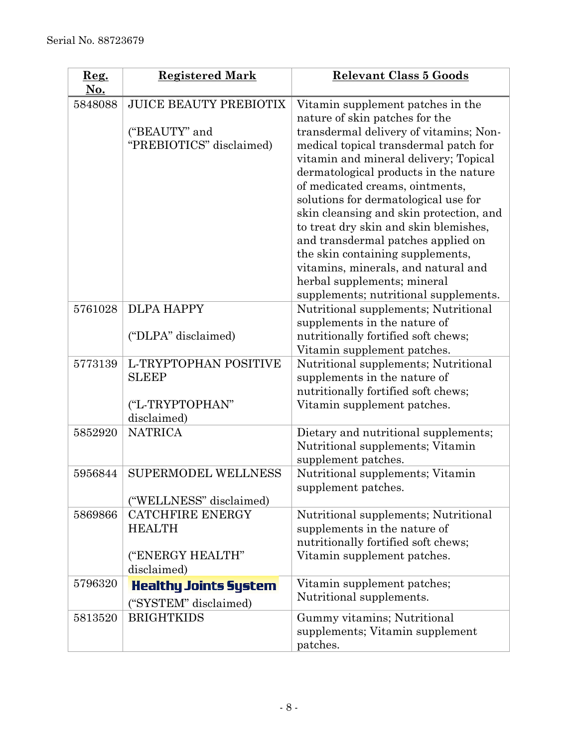| $\mathbf{Reg.}$<br>No. | <b>Registered Mark</b>                                                      | <b>Relevant Class 5 Goods</b>                                                                                                                                                                                                                                                                                                                                                                                                                                                                                                                                                                    |
|------------------------|-----------------------------------------------------------------------------|--------------------------------------------------------------------------------------------------------------------------------------------------------------------------------------------------------------------------------------------------------------------------------------------------------------------------------------------------------------------------------------------------------------------------------------------------------------------------------------------------------------------------------------------------------------------------------------------------|
| 5848088                | <b>JUICE BEAUTY PREBIOTIX</b><br>("BEAUTY" and<br>"PREBIOTICS" disclaimed)  | Vitamin supplement patches in the<br>nature of skin patches for the<br>transdermal delivery of vitamins; Non-<br>medical topical transdermal patch for<br>vitamin and mineral delivery; Topical<br>dermatological products in the nature<br>of medicated creams, ointments,<br>solutions for dermatological use for<br>skin cleansing and skin protection, and<br>to treat dry skin and skin blemishes,<br>and transdermal patches applied on<br>the skin containing supplements,<br>vitamins, minerals, and natural and<br>herbal supplements; mineral<br>supplements; nutritional supplements. |
| 5761028                | <b>DLPA HAPPY</b><br>("DLPA" disclaimed)                                    | Nutritional supplements; Nutritional<br>supplements in the nature of<br>nutritionally fortified soft chews;<br>Vitamin supplement patches.                                                                                                                                                                                                                                                                                                                                                                                                                                                       |
| 5773139                | L-TRYPTOPHAN POSITIVE<br><b>SLEEP</b><br>("L-TRYPTOPHAN"<br>disclaimed)     | Nutritional supplements; Nutritional<br>supplements in the nature of<br>nutritionally fortified soft chews;<br>Vitamin supplement patches.                                                                                                                                                                                                                                                                                                                                                                                                                                                       |
| 5852920                | <b>NATRICA</b>                                                              | Dietary and nutritional supplements;<br>Nutritional supplements; Vitamin<br>supplement patches.                                                                                                                                                                                                                                                                                                                                                                                                                                                                                                  |
| 5956844                | <b>SUPERMODEL WELLNESS</b><br>("WELLNESS" disclaimed)                       | Nutritional supplements; Vitamin<br>supplement patches.                                                                                                                                                                                                                                                                                                                                                                                                                                                                                                                                          |
| 5869866                | <b>CATCHFIRE ENERGY</b><br><b>HEALTH</b><br>("ENERGY HEALTH"<br>disclaimed) | Nutritional supplements; Nutritional<br>supplements in the nature of<br>nutritionally fortified soft chews;<br>Vitamin supplement patches.                                                                                                                                                                                                                                                                                                                                                                                                                                                       |
| 5796320                | <b>Healthy Joints System</b><br>("SYSTEM" disclaimed)                       | Vitamin supplement patches;<br>Nutritional supplements.                                                                                                                                                                                                                                                                                                                                                                                                                                                                                                                                          |
| 5813520                | <b>BRIGHTKIDS</b>                                                           | Gummy vitamins; Nutritional<br>supplements; Vitamin supplement<br>patches.                                                                                                                                                                                                                                                                                                                                                                                                                                                                                                                       |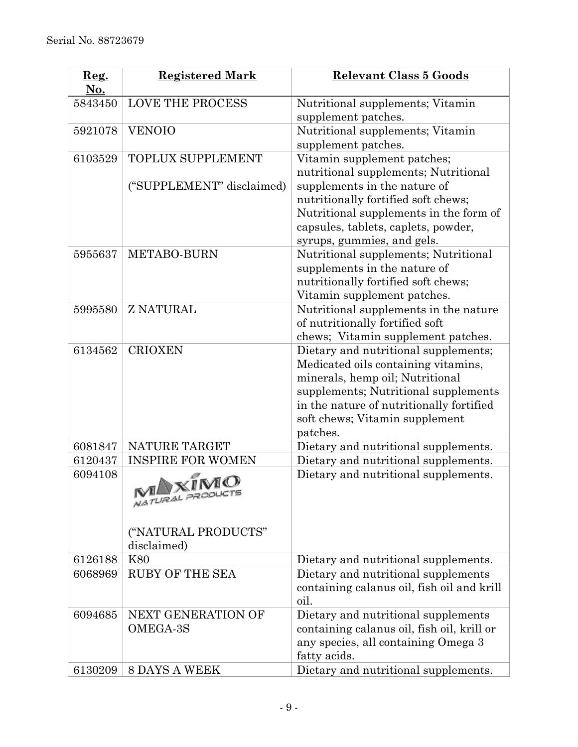| 5843450                                                                                         | <b>LOVE THE PROCESS</b>                                                                                                                                                                                                                                                                | Nutritional supplements; Vitamin                                                                                                                                                                                                                                                                                                                                                                                                                                                                                                                                                                                                                                                                                                                                                                                                                                                                                                                                                          |
|-------------------------------------------------------------------------------------------------|----------------------------------------------------------------------------------------------------------------------------------------------------------------------------------------------------------------------------------------------------------------------------------------|-------------------------------------------------------------------------------------------------------------------------------------------------------------------------------------------------------------------------------------------------------------------------------------------------------------------------------------------------------------------------------------------------------------------------------------------------------------------------------------------------------------------------------------------------------------------------------------------------------------------------------------------------------------------------------------------------------------------------------------------------------------------------------------------------------------------------------------------------------------------------------------------------------------------------------------------------------------------------------------------|
|                                                                                                 |                                                                                                                                                                                                                                                                                        | supplement patches.                                                                                                                                                                                                                                                                                                                                                                                                                                                                                                                                                                                                                                                                                                                                                                                                                                                                                                                                                                       |
| 5921078                                                                                         | <b>VENOIO</b>                                                                                                                                                                                                                                                                          | Nutritional supplements; Vitamin                                                                                                                                                                                                                                                                                                                                                                                                                                                                                                                                                                                                                                                                                                                                                                                                                                                                                                                                                          |
|                                                                                                 |                                                                                                                                                                                                                                                                                        | supplement patches.                                                                                                                                                                                                                                                                                                                                                                                                                                                                                                                                                                                                                                                                                                                                                                                                                                                                                                                                                                       |
| 6103529                                                                                         | <b>TOPLUX SUPPLEMENT</b>                                                                                                                                                                                                                                                               | Vitamin supplement patches;                                                                                                                                                                                                                                                                                                                                                                                                                                                                                                                                                                                                                                                                                                                                                                                                                                                                                                                                                               |
|                                                                                                 |                                                                                                                                                                                                                                                                                        |                                                                                                                                                                                                                                                                                                                                                                                                                                                                                                                                                                                                                                                                                                                                                                                                                                                                                                                                                                                           |
|                                                                                                 |                                                                                                                                                                                                                                                                                        |                                                                                                                                                                                                                                                                                                                                                                                                                                                                                                                                                                                                                                                                                                                                                                                                                                                                                                                                                                                           |
|                                                                                                 |                                                                                                                                                                                                                                                                                        |                                                                                                                                                                                                                                                                                                                                                                                                                                                                                                                                                                                                                                                                                                                                                                                                                                                                                                                                                                                           |
|                                                                                                 |                                                                                                                                                                                                                                                                                        |                                                                                                                                                                                                                                                                                                                                                                                                                                                                                                                                                                                                                                                                                                                                                                                                                                                                                                                                                                                           |
|                                                                                                 |                                                                                                                                                                                                                                                                                        |                                                                                                                                                                                                                                                                                                                                                                                                                                                                                                                                                                                                                                                                                                                                                                                                                                                                                                                                                                                           |
|                                                                                                 |                                                                                                                                                                                                                                                                                        |                                                                                                                                                                                                                                                                                                                                                                                                                                                                                                                                                                                                                                                                                                                                                                                                                                                                                                                                                                                           |
|                                                                                                 |                                                                                                                                                                                                                                                                                        |                                                                                                                                                                                                                                                                                                                                                                                                                                                                                                                                                                                                                                                                                                                                                                                                                                                                                                                                                                                           |
|                                                                                                 |                                                                                                                                                                                                                                                                                        |                                                                                                                                                                                                                                                                                                                                                                                                                                                                                                                                                                                                                                                                                                                                                                                                                                                                                                                                                                                           |
|                                                                                                 |                                                                                                                                                                                                                                                                                        |                                                                                                                                                                                                                                                                                                                                                                                                                                                                                                                                                                                                                                                                                                                                                                                                                                                                                                                                                                                           |
|                                                                                                 |                                                                                                                                                                                                                                                                                        |                                                                                                                                                                                                                                                                                                                                                                                                                                                                                                                                                                                                                                                                                                                                                                                                                                                                                                                                                                                           |
|                                                                                                 |                                                                                                                                                                                                                                                                                        |                                                                                                                                                                                                                                                                                                                                                                                                                                                                                                                                                                                                                                                                                                                                                                                                                                                                                                                                                                                           |
|                                                                                                 |                                                                                                                                                                                                                                                                                        |                                                                                                                                                                                                                                                                                                                                                                                                                                                                                                                                                                                                                                                                                                                                                                                                                                                                                                                                                                                           |
| 6134562                                                                                         | <b>CRIOXEN</b>                                                                                                                                                                                                                                                                         | Dietary and nutritional supplements;                                                                                                                                                                                                                                                                                                                                                                                                                                                                                                                                                                                                                                                                                                                                                                                                                                                                                                                                                      |
|                                                                                                 |                                                                                                                                                                                                                                                                                        | Medicated oils containing vitamins,                                                                                                                                                                                                                                                                                                                                                                                                                                                                                                                                                                                                                                                                                                                                                                                                                                                                                                                                                       |
|                                                                                                 |                                                                                                                                                                                                                                                                                        | minerals, hemp oil; Nutritional                                                                                                                                                                                                                                                                                                                                                                                                                                                                                                                                                                                                                                                                                                                                                                                                                                                                                                                                                           |
|                                                                                                 |                                                                                                                                                                                                                                                                                        | supplements; Nutritional supplements                                                                                                                                                                                                                                                                                                                                                                                                                                                                                                                                                                                                                                                                                                                                                                                                                                                                                                                                                      |
|                                                                                                 |                                                                                                                                                                                                                                                                                        | in the nature of nutritionally fortified                                                                                                                                                                                                                                                                                                                                                                                                                                                                                                                                                                                                                                                                                                                                                                                                                                                                                                                                                  |
|                                                                                                 |                                                                                                                                                                                                                                                                                        |                                                                                                                                                                                                                                                                                                                                                                                                                                                                                                                                                                                                                                                                                                                                                                                                                                                                                                                                                                                           |
|                                                                                                 |                                                                                                                                                                                                                                                                                        |                                                                                                                                                                                                                                                                                                                                                                                                                                                                                                                                                                                                                                                                                                                                                                                                                                                                                                                                                                                           |
|                                                                                                 |                                                                                                                                                                                                                                                                                        |                                                                                                                                                                                                                                                                                                                                                                                                                                                                                                                                                                                                                                                                                                                                                                                                                                                                                                                                                                                           |
|                                                                                                 |                                                                                                                                                                                                                                                                                        |                                                                                                                                                                                                                                                                                                                                                                                                                                                                                                                                                                                                                                                                                                                                                                                                                                                                                                                                                                                           |
|                                                                                                 |                                                                                                                                                                                                                                                                                        |                                                                                                                                                                                                                                                                                                                                                                                                                                                                                                                                                                                                                                                                                                                                                                                                                                                                                                                                                                                           |
|                                                                                                 |                                                                                                                                                                                                                                                                                        |                                                                                                                                                                                                                                                                                                                                                                                                                                                                                                                                                                                                                                                                                                                                                                                                                                                                                                                                                                                           |
|                                                                                                 |                                                                                                                                                                                                                                                                                        |                                                                                                                                                                                                                                                                                                                                                                                                                                                                                                                                                                                                                                                                                                                                                                                                                                                                                                                                                                                           |
|                                                                                                 |                                                                                                                                                                                                                                                                                        |                                                                                                                                                                                                                                                                                                                                                                                                                                                                                                                                                                                                                                                                                                                                                                                                                                                                                                                                                                                           |
|                                                                                                 |                                                                                                                                                                                                                                                                                        |                                                                                                                                                                                                                                                                                                                                                                                                                                                                                                                                                                                                                                                                                                                                                                                                                                                                                                                                                                                           |
|                                                                                                 |                                                                                                                                                                                                                                                                                        |                                                                                                                                                                                                                                                                                                                                                                                                                                                                                                                                                                                                                                                                                                                                                                                                                                                                                                                                                                                           |
|                                                                                                 |                                                                                                                                                                                                                                                                                        |                                                                                                                                                                                                                                                                                                                                                                                                                                                                                                                                                                                                                                                                                                                                                                                                                                                                                                                                                                                           |
|                                                                                                 |                                                                                                                                                                                                                                                                                        |                                                                                                                                                                                                                                                                                                                                                                                                                                                                                                                                                                                                                                                                                                                                                                                                                                                                                                                                                                                           |
|                                                                                                 |                                                                                                                                                                                                                                                                                        |                                                                                                                                                                                                                                                                                                                                                                                                                                                                                                                                                                                                                                                                                                                                                                                                                                                                                                                                                                                           |
|                                                                                                 |                                                                                                                                                                                                                                                                                        |                                                                                                                                                                                                                                                                                                                                                                                                                                                                                                                                                                                                                                                                                                                                                                                                                                                                                                                                                                                           |
|                                                                                                 |                                                                                                                                                                                                                                                                                        |                                                                                                                                                                                                                                                                                                                                                                                                                                                                                                                                                                                                                                                                                                                                                                                                                                                                                                                                                                                           |
|                                                                                                 |                                                                                                                                                                                                                                                                                        |                                                                                                                                                                                                                                                                                                                                                                                                                                                                                                                                                                                                                                                                                                                                                                                                                                                                                                                                                                                           |
|                                                                                                 |                                                                                                                                                                                                                                                                                        |                                                                                                                                                                                                                                                                                                                                                                                                                                                                                                                                                                                                                                                                                                                                                                                                                                                                                                                                                                                           |
| 5955637<br>5995580<br>6081847<br>6120437<br>6094108<br>6126188<br>6068969<br>6094685<br>6130209 | ("SUPPLEMENT" disclaimed)<br><b>METABO-BURN</b><br><b>Z NATURAL</b><br>NATURE TARGET<br><b>INSPIRE FOR WOMEN</b><br>MIXIMO<br>NATURAL PRODUCTS<br>("NATURAL PRODUCTS"<br>disclaimed)<br><b>K80</b><br><b>RUBY OF THE SEA</b><br>NEXT GENERATION OF<br>OMEGA-3S<br><b>8 DAYS A WEEK</b> | nutritional supplements; Nutritional<br>supplements in the nature of<br>nutritionally fortified soft chews;<br>Nutritional supplements in the form of<br>capsules, tablets, caplets, powder,<br>syrups, gummies, and gels.<br>Nutritional supplements; Nutritional<br>supplements in the nature of<br>nutritionally fortified soft chews;<br>Vitamin supplement patches.<br>Nutritional supplements in the nature<br>of nutritionally fortified soft<br>chews; Vitamin supplement patches.<br>soft chews; Vitamin supplement<br>patches.<br>Dietary and nutritional supplements.<br>Dietary and nutritional supplements.<br>Dietary and nutritional supplements.<br>Dietary and nutritional supplements.<br>Dietary and nutritional supplements<br>containing calanus oil, fish oil and krill<br>oil.<br>Dietary and nutritional supplements<br>containing calanus oil, fish oil, krill or<br>any species, all containing Omega 3<br>fatty acids.<br>Dietary and nutritional supplements. |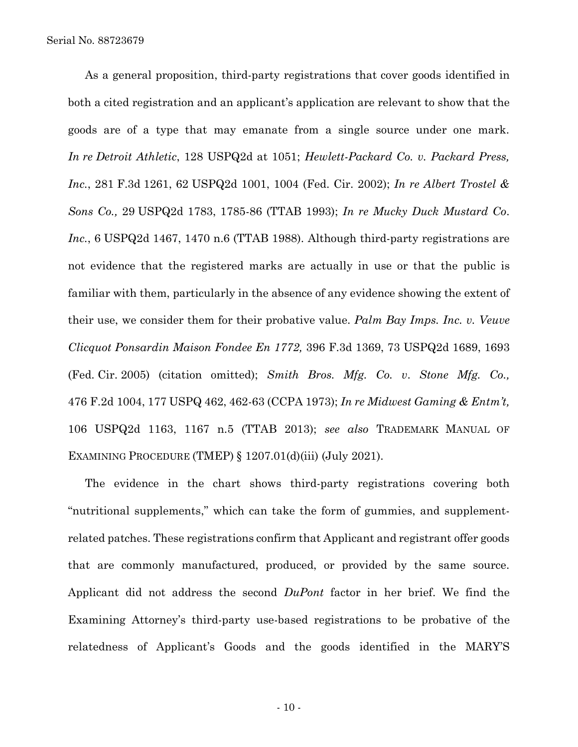As a general proposition, third-party registrations that cover goods identified in both a cited registration and an applicant's application are relevant to show that the goods are of a type that may emanate from a single source under one mark. *In re Detroit Athletic*, 128 USPQ2d at 1051; *Hewlett-Packard Co. v. Packard Press, Inc.*, 281 F.3d 1261, 62 USPQ2d 1001, 1004 (Fed. Cir. 2002); *In re Albert Trostel & Sons Co.,* 29 USPQ2d 1783, 1785-86 (TTAB 1993); *In re Mucky Duck Mustard Co*. *Inc.*, 6 USPQ2d 1467, 1470 n.6 (TTAB 1988). Although third-party registrations are not evidence that the registered marks are actually in use or that the public is familiar with them, particularly in the absence of any evidence showing the extent of their use, we consider them for their probative value. *Palm Bay Imps. Inc. v. Veuve Clicquot Ponsardin Maison Fondee En 1772,* 396 F.3d 1369, 73 USPQ2d 1689, 1693 (Fed. Cir. 2005) (citation omitted); *Smith Bros. Mfg. Co. v*. *Stone Mfg. Co.,*  476 F.2d 1004, 177 USPQ 462, 462-63 (CCPA 1973); *In re Midwest Gaming & Entm't,*  106 USPQ2d 1163, 1167 n.5 (TTAB 2013); *see also* TRADEMARK MANUAL OF EXAMINING PROCEDURE (TMEP) § 1207.01(d)(iii) (July 2021).

The evidence in the chart shows third-party registrations covering both "nutritional supplements," which can take the form of gummies, and supplementrelated patches. These registrations confirm that Applicant and registrant offer goods that are commonly manufactured, produced, or provided by the same source. Applicant did not address the second *DuPont* factor in her brief. We find the Examining Attorney's third-party use-based registrations to be probative of the relatedness of Applicant's Goods and the goods identified in the MARY'S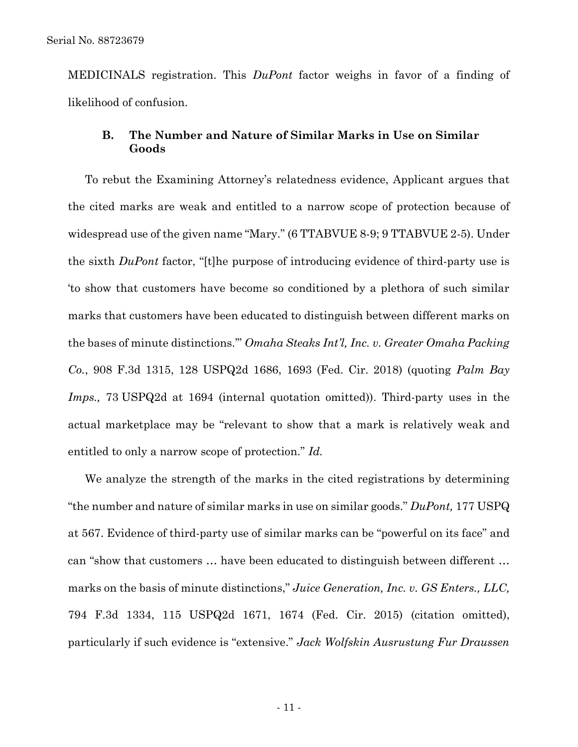MEDICINALS registration. This *DuPont* factor weighs in favor of a finding of likelihood of confusion.

## **B. The Number and Nature of Similar Marks in Use on Similar Goods**

To rebut the Examining Attorney's relatedness evidence, Applicant argues that the cited marks are weak and entitled to a narrow scope of protection because of widespread use of the given name "Mary." (6 TTABVUE 8-9; 9 TTABVUE 2-5). Under the sixth *DuPont* factor, "[t]he purpose of introducing evidence of third-party use is 'to show that customers have become so conditioned by a plethora of such similar marks that customers have been educated to distinguish between different marks on the bases of minute distinctions.'" *Omaha Steaks Int'l, Inc. v. Greater Omaha Packing Co.*, 908 F.3d 1315, 128 USPQ2d 1686, 1693 (Fed. Cir. 2018) (quoting *Palm Bay Imps.,* 73 USPQ2d at 1694 (internal quotation omitted)). Third-party uses in the actual marketplace may be "relevant to show that a mark is relatively weak and entitled to only a narrow scope of protection." *Id.*

We analyze the strength of the marks in the cited registrations by determining "the number and nature of similar marks in use on similar goods." *DuPont,* 177 USPQ at 567. Evidence of third-party use of similar marks can be "powerful on its face" and can "show that customers … have been educated to distinguish between different … marks on the basis of minute distinctions," *Juice Generation, Inc. v. GS Enters., LLC,* 794 F.3d 1334, 115 USPQ2d 1671, 1674 (Fed. Cir. 2015) (citation omitted), particularly if such evidence is "extensive." *Jack Wolfskin Ausrustung Fur Draussen*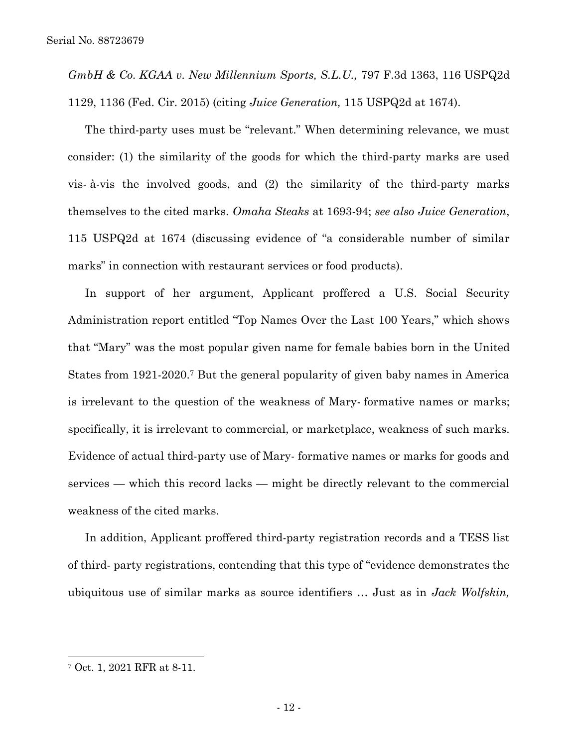*GmbH & Co. KGAA v. New Millennium Sports, S.L.U.,* 797 F.3d 1363, 116 USPQ2d 1129, 1136 (Fed. Cir. 2015) (citing *Juice Generation,* 115 USPQ2d at 1674).

The third-party uses must be "relevant." When determining relevance, we must consider: (1) the similarity of the goods for which the third-party marks are used vis- à-vis the involved goods, and (2) the similarity of the third-party marks themselves to the cited marks. *Omaha Steaks* at 1693-94; *see also Juice Generation*, 115 USPQ2d at 1674 (discussing evidence of "a considerable number of similar marks" in connection with restaurant services or food products).

In support of her argument, Applicant proffered a U.S. Social Security Administration report entitled "Top Names Over the Last 100 Years," which shows that "Mary" was the most popular given name for female babies born in the United States from 1921-2020. <sup>7</sup> But the general popularity of given baby names in America is irrelevant to the question of the weakness of Mary- formative names or marks; specifically, it is irrelevant to commercial, or marketplace, weakness of such marks. Evidence of actual third-party use of Mary- formative names or marks for goods and services — which this record lacks — might be directly relevant to the commercial weakness of the cited marks.

In addition, Applicant proffered third-party registration records and a TESS list of third- party registrations, contending that this type of "evidence demonstrates the ubiquitous use of similar marks as source identifiers … Just as in *Jack Wolfskin,*

l

<sup>7</sup> Oct. 1, 2021 RFR at 8-11.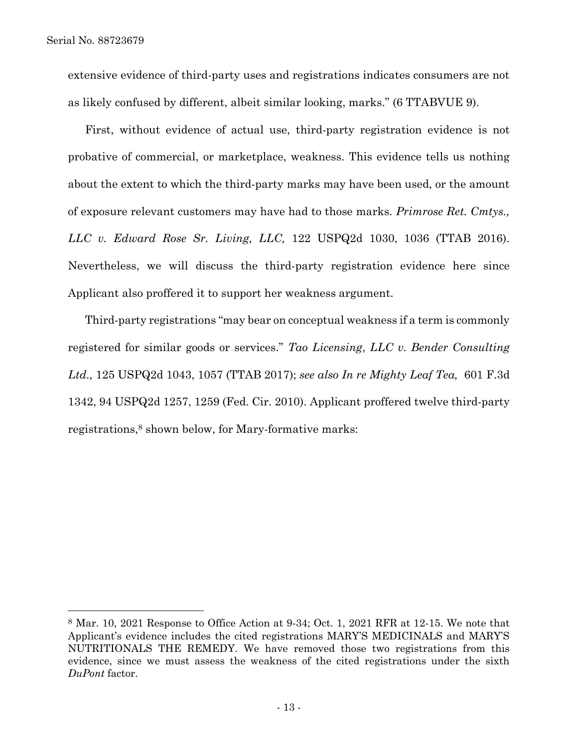extensive evidence of third-party uses and registrations indicates consumers are not as likely confused by different, albeit similar looking, marks." (6 TTABVUE 9).

First, without evidence of actual use, third-party registration evidence is not probative of commercial, or marketplace, weakness. This evidence tells us nothing about the extent to which the third-party marks may have been used, or the amount of exposure relevant customers may have had to those marks. *Primrose Ret. Cmtys., LLC v. Edward Rose Sr. Living, LLC,* 122 USPQ2d 1030, 1036 (TTAB 2016). Nevertheless, we will discuss the third-party registration evidence here since Applicant also proffered it to support her weakness argument.

Third-party registrations "may bear on conceptual weakness if a term is commonly registered for similar goods or services." *Tao Licensing*, *LLC v. Bender Consulting Ltd.,* 125 USPQ2d 1043, 1057 (TTAB 2017); *see also In re Mighty Leaf Tea,* 601 F.3d 1342, 94 USPQ2d 1257, 1259 (Fed. Cir. 2010). Applicant proffered twelve third-party registrations, <sup>8</sup> shown below, for Mary-formative marks:

<sup>8</sup> Mar. 10, 2021 Response to Office Action at 9-34; Oct. 1, 2021 RFR at 12-15. We note that Applicant's evidence includes the cited registrations MARY'S MEDICINALS and MARY'S NUTRITIONALS THE REMEDY. We have removed those two registrations from this evidence, since we must assess the weakness of the cited registrations under the sixth *DuPont* factor.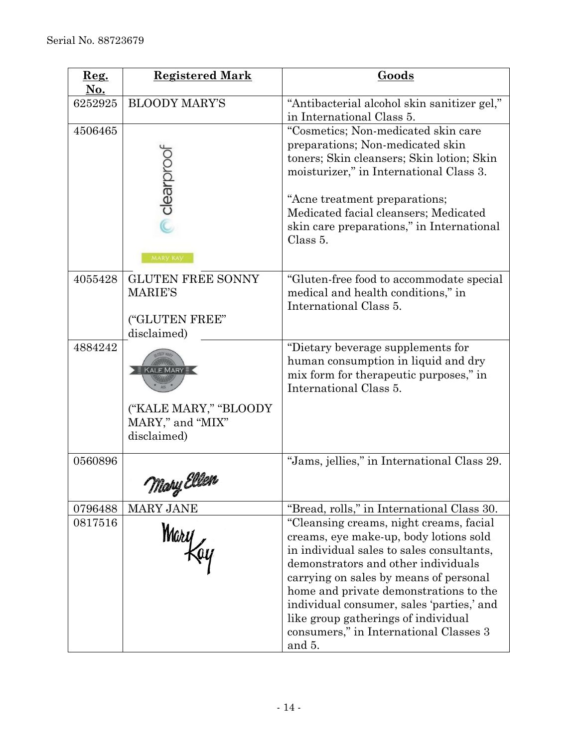| $\mathbf{Reg.}$<br><u>No.</u> | <b>Registered Mark</b>                                                            | Goods                                                                                                                                                                                                                                                                                                                                                                                                                                 |
|-------------------------------|-----------------------------------------------------------------------------------|---------------------------------------------------------------------------------------------------------------------------------------------------------------------------------------------------------------------------------------------------------------------------------------------------------------------------------------------------------------------------------------------------------------------------------------|
| 6252925                       | <b>BLOODY MARY'S</b>                                                              | "Antibacterial alcohol skin sanitizer gel,"<br>in International Class 5.                                                                                                                                                                                                                                                                                                                                                              |
| 4506465                       | clearprool<br>MARY KAY                                                            | "Cosmetics; Non-medicated skin care<br>preparations; Non-medicated skin<br>toners; Skin cleansers; Skin lotion; Skin<br>moisturizer," in International Class 3.<br>"Acne treatment preparations;<br>Medicated facial cleansers; Medicated<br>skin care preparations," in International<br>Class 5.                                                                                                                                    |
| 4055428                       | <b>GLUTEN FREE SONNY</b><br><b>MARIE'S</b><br>("GLUTEN FREE"<br>disclaimed)       | "Gluten-free food to accommodate special"<br>medical and health conditions," in<br>International Class 5.                                                                                                                                                                                                                                                                                                                             |
| 4884242                       | KALE MARY $\bar{\Xi}$<br>("KALE MARY," "BLOODY<br>MARY," and "MIX"<br>disclaimed) | "Dietary beverage supplements for<br>human consumption in liquid and dry<br>mix form for the rapeutic purposes," in<br>International Class 5.                                                                                                                                                                                                                                                                                         |
| 0560896                       | Mary Eller                                                                        | "Jams, jellies," in International Class 29.                                                                                                                                                                                                                                                                                                                                                                                           |
| 0796488<br>0817516            | MARY JANE<br>Mary                                                                 | "Bread, rolls," in International Class 30.<br>"Cleansing creams, night creams, facial<br>creams, eye make-up, body lotions sold<br>in individual sales to sales consultants,<br>demonstrators and other individuals<br>carrying on sales by means of personal<br>home and private demonstrations to the<br>individual consumer, sales 'parties,' and<br>like group gatherings of individual<br>consumers," in International Classes 3 |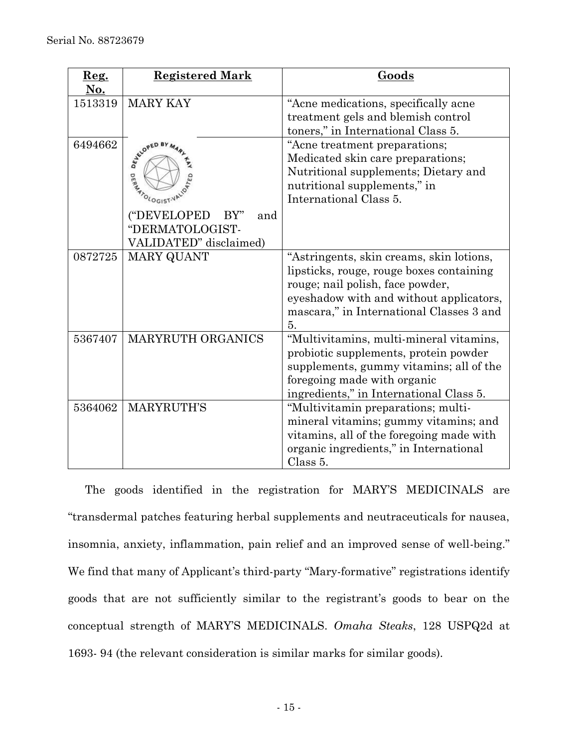| $\mathbf{Reg.}$<br><u>No.</u> | <b>Registered Mark</b>                                                                                      | Goods                                                                                                                                                                                                                 |
|-------------------------------|-------------------------------------------------------------------------------------------------------------|-----------------------------------------------------------------------------------------------------------------------------------------------------------------------------------------------------------------------|
| 1513319                       | <b>MARY KAY</b>                                                                                             | "Acne medications, specifically acne<br>treatment gels and blemish control<br>toners," in International Class 5.                                                                                                      |
| 6494662                       | WALDPED BY MAR<br>ANTOLOGISTVALOT<br>("DEVELOPED<br>BY"<br>and<br>"DERMATOLOGIST-<br>VALIDATED" disclaimed) | "Acne treatment preparations;<br>Medicated skin care preparations;<br>Nutritional supplements; Dietary and<br>nutritional supplements," in<br>International Class 5.                                                  |
| 0872725                       | <b>MARY QUANT</b>                                                                                           | "Astringents, skin creams, skin lotions,<br>lipsticks, rouge, rouge boxes containing<br>rouge; nail polish, face powder,<br>eyeshadow with and without applicators,<br>mascara," in International Classes 3 and<br>5. |
| 5367407                       | <b>MARYRUTH ORGANICS</b>                                                                                    | "Multivitamins, multi-mineral vitamins,<br>probiotic supplements, protein powder<br>supplements, gummy vitamins; all of the<br>foregoing made with organic<br>ingredients," in International Class 5.                 |
| 5364062                       | <b>MARYRUTH'S</b>                                                                                           | "Multivitamin preparations; multi-<br>mineral vitamins; gummy vitamins; and<br>vitamins, all of the foregoing made with<br>organic ingredients," in International<br>Class 5.                                         |

The goods identified in the registration for MARY'S MEDICINALS are "transdermal patches featuring herbal supplements and neutraceuticals for nausea, insomnia, anxiety, inflammation, pain relief and an improved sense of well-being." We find that many of Applicant's third-party "Mary-formative" registrations identify goods that are not sufficiently similar to the registrant's goods to bear on the conceptual strength of MARY'S MEDICINALS. *Omaha Steaks*, 128 USPQ2d at 1693- 94 (the relevant consideration is similar marks for similar goods).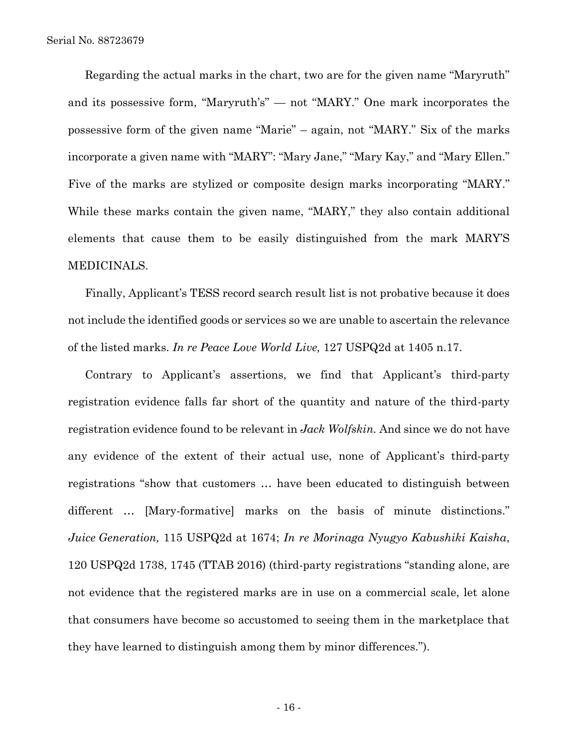Regarding the actual marks in the chart, two are for the given name "Maryruth" and its possessive form, "Maryruth's" — not "MARY." One mark incorporates the possessive form of the given name "Marie" – again, not "MARY." Six of the marks incorporate a given name with "MARY": "Mary Jane," "Mary Kay," and "Mary Ellen." Five of the marks are stylized or composite design marks incorporating "MARY." While these marks contain the given name, "MARY," they also contain additional elements that cause them to be easily distinguished from the mark MARY'S MEDICINALS.

Finally, Applicant's TESS record search result list is not probative because it does not include the identified goods or services so we are unable to ascertain the relevance of the listed marks. *In re Peace Love World Live,* 127 USPQ2d at 1405 n.17.

Contrary to Applicant's assertions, we find that Applicant's third-party registration evidence falls far short of the quantity and nature of the third-party registration evidence found to be relevant in *Jack Wolfskin.* And since we do not have any evidence of the extent of their actual use, none of Applicant's third-party registrations "show that customers … have been educated to distinguish between different … [Mary-formative] marks on the basis of minute distinctions." *Juice Generation,* 115 USPQ2d at 1674; *In re Morinaga Nyugyo Kabushiki Kaisha*, 120 USPQ2d 1738, 1745 (TTAB 2016) (third-party registrations "standing alone, are not evidence that the registered marks are in use on a commercial scale, let alone that consumers have become so accustomed to seeing them in the marketplace that they have learned to distinguish among them by minor differences.").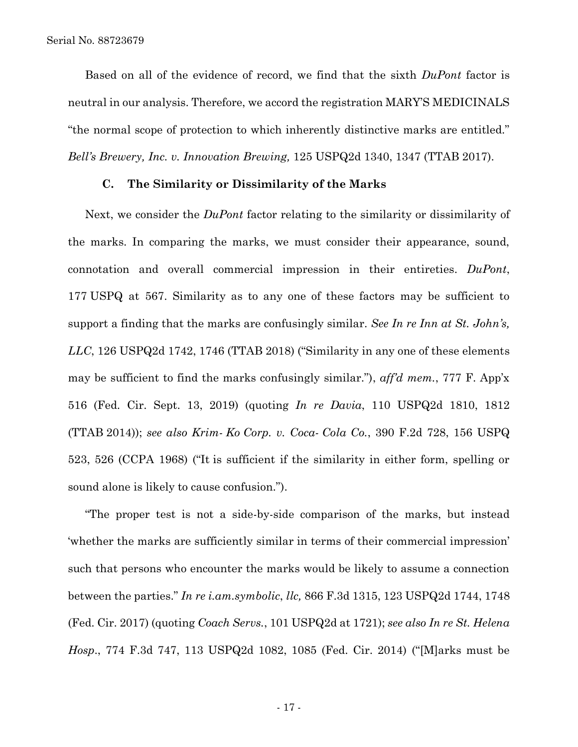Based on all of the evidence of record, we find that the sixth *DuPont* factor is neutral in our analysis. Therefore, we accord the registration MARY'S MEDICINALS "the normal scope of protection to which inherently distinctive marks are entitled." *Bell's Brewery, Inc. v. Innovation Brewing,* 125 USPQ2d 1340, 1347 (TTAB 2017).

#### **C. The Similarity or Dissimilarity of the Marks**

Next, we consider the *DuPont* factor relating to the similarity or dissimilarity of the marks. In comparing the marks, we must consider their appearance, sound, connotation and overall commercial impression in their entireties. *DuPont*, 177 USPQ at 567. Similarity as to any one of these factors may be sufficient to support a finding that the marks are confusingly similar. *See In re Inn at St. John's, LLC*, 126 USPQ2d 1742, 1746 (TTAB 2018) ("Similarity in any one of these elements may be sufficient to find the marks confusingly similar."), *aff'd mem.*, 777 F. App'x 516 (Fed. Cir. Sept. 13, 2019) (quoting *In re Davia*, 110 USPQ2d 1810, 1812 (TTAB 2014)); *see also Krim- Ko Corp. v. Coca- Cola Co.*, 390 F.2d 728, 156 USPQ 523, 526 (CCPA 1968) ("It is sufficient if the similarity in either form, spelling or sound alone is likely to cause confusion.").

"The proper test is not a side-by-side comparison of the marks, but instead 'whether the marks are sufficiently similar in terms of their commercial impression' such that persons who encounter the marks would be likely to assume a connection between the parties." *In re i.am.symbolic*, *llc,* 866 F.3d 1315, 123 USPQ2d 1744, 1748 (Fed. Cir. 2017) (quoting *Coach Servs.*, 101 USPQ2d at 1721); *see also In re St. Helena Hosp*., 774 F.3d 747, 113 USPQ2d 1082, 1085 (Fed. Cir. 2014) ("[M]arks must be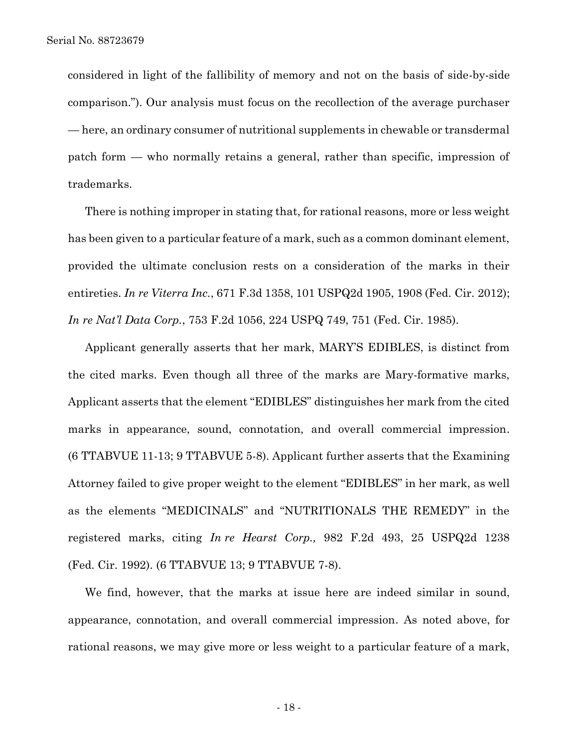considered in light of the fallibility of memory and not on the basis of side-by-side comparison."). Our analysis must focus on the recollection of the average purchaser — here, an ordinary consumer of nutritional supplements in chewable or transdermal patch form — who normally retains a general, rather than specific, impression of trademarks.

There is nothing improper in stating that, for rational reasons, more or less weight has been given to a particular feature of a mark, such as a common dominant element, provided the ultimate conclusion rests on a consideration of the marks in their entireties. *In re Viterra Inc.*, 671 F.3d 1358, 101 USPQ2d 1905, 1908 (Fed. Cir. 2012); *In re Nat'l Data Corp.*, 753 F.2d 1056, 224 USPQ 749, 751 (Fed. Cir. 1985).

Applicant generally asserts that her mark, MARY'S EDIBLES, is distinct from the cited marks. Even though all three of the marks are Mary-formative marks, Applicant asserts that the element "EDIBLES" distinguishes her mark from the cited marks in appearance, sound, connotation, and overall commercial impression. (6 TTABVUE 11-13; 9 TTABVUE 5-8). Applicant further asserts that the Examining Attorney failed to give proper weight to the element "EDIBLES" in her mark, as well as the elements "MEDICINALS" and "NUTRITIONALS THE REMEDY" in the registered marks, citing *In re Hearst Corp.,* 982 F.2d 493, 25 USPQ2d 1238 (Fed. Cir. 1992). (6 TTABVUE 13; 9 TTABVUE 7-8).

We find, however, that the marks at issue here are indeed similar in sound, appearance, connotation, and overall commercial impression. As noted above, for rational reasons, we may give more or less weight to a particular feature of a mark,

- 18 -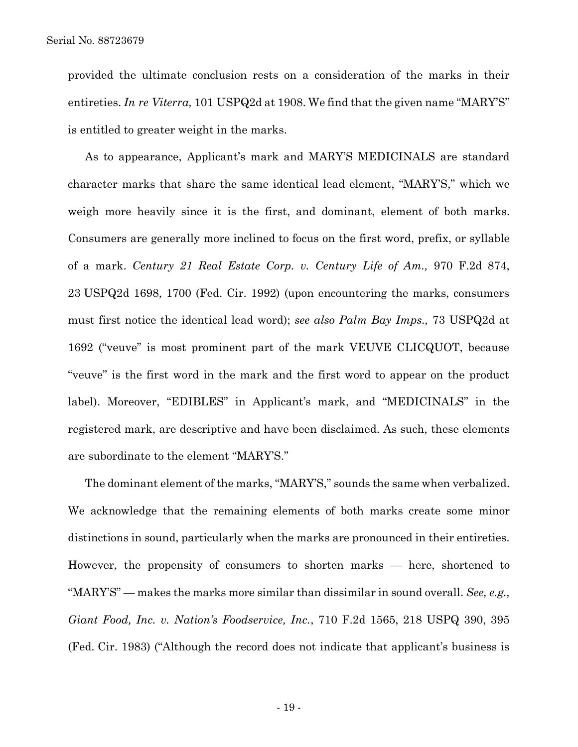provided the ultimate conclusion rests on a consideration of the marks in their entireties. *In re Viterra,* 101 USPQ2d at 1908. We find that the given name "MARY'S" is entitled to greater weight in the marks.

As to appearance, Applicant's mark and MARY'S MEDICINALS are standard character marks that share the same identical lead element, "MARY'S," which we weigh more heavily since it is the first, and dominant, element of both marks. Consumers are generally more inclined to focus on the first word, prefix, or syllable of a mark. *Century 21 Real Estate Corp. v. Century Life of Am.,* 970 F.2d 874, 23 USPQ2d 1698, 1700 (Fed. Cir. 1992) (upon encountering the marks, consumers must first notice the identical lead word); *see also Palm Bay Imps.,* 73 USPQ2d at 1692 ("veuve" is most prominent part of the mark VEUVE CLICQUOT, because "veuve" is the first word in the mark and the first word to appear on the product label). Moreover, "EDIBLES" in Applicant's mark, and "MEDICINALS" in the registered mark, are descriptive and have been disclaimed. As such, these elements are subordinate to the element "MARY'S."

The dominant element of the marks, "MARY'S," sounds the same when verbalized. We acknowledge that the remaining elements of both marks create some minor distinctions in sound, particularly when the marks are pronounced in their entireties. However, the propensity of consumers to shorten marks — here, shortened to "MARY'S" — makes the marks more similar than dissimilar in sound overall. *See, e.g., Giant Food, Inc. v. Nation's Foodservice, Inc.*, 710 F.2d 1565, 218 USPQ 390, 395 (Fed. Cir. 1983) ("Although the record does not indicate that applicant's business is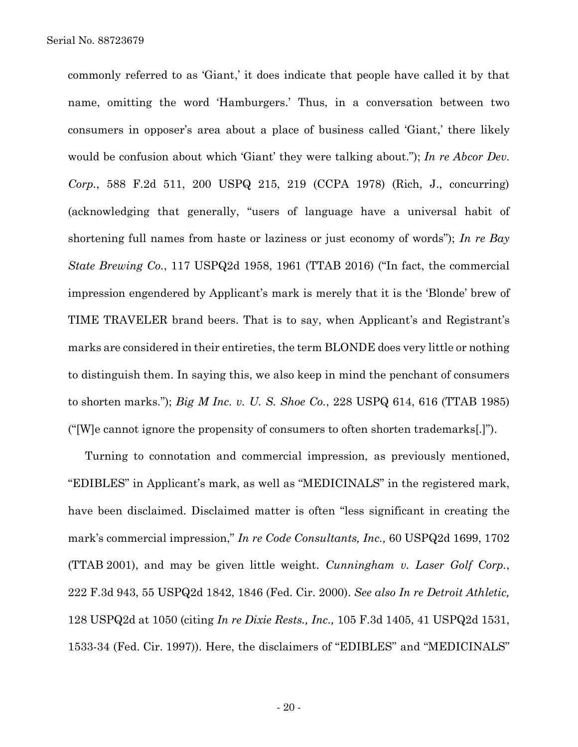commonly referred to as 'Giant,' it does indicate that people have called it by that name, omitting the word 'Hamburgers.' Thus, in a conversation between two consumers in opposer's area about a place of business called 'Giant,' there likely would be confusion about which 'Giant' they were talking about."); *In re Abcor Dev. Corp.*, 588 F.2d 511, 200 USPQ 215, 219 (CCPA 1978) (Rich, J., concurring) (acknowledging that generally, "users of language have a universal habit of shortening full names from haste or laziness or just economy of words"); *In re Bay State Brewing Co.*, 117 USPQ2d 1958, 1961 (TTAB 2016) ("In fact, the commercial impression engendered by Applicant's mark is merely that it is the 'Blonde' brew of TIME TRAVELER brand beers. That is to say, when Applicant's and Registrant's marks are considered in their entireties, the term BLONDE does very little or nothing to distinguish them. In saying this, we also keep in mind the penchant of consumers to shorten marks."); *Big M Inc. v. U. S. Shoe Co.*, 228 USPQ 614, 616 (TTAB 1985) ("[W]e cannot ignore the propensity of consumers to often shorten trademarks[.]").

Turning to connotation and commercial impression, as previously mentioned, "EDIBLES" in Applicant's mark, as well as "MEDICINALS" in the registered mark, have been disclaimed. Disclaimed matter is often "less significant in creating the mark's commercial impression," *In re Code Consultants, Inc.,* 60 USPQ2d 1699, 1702 (TTAB 2001), and may be given little weight. *Cunningham v. Laser Golf Corp.*, 222 F.3d 943, 55 USPQ2d 1842, 1846 (Fed. Cir. 2000). *See also In re Detroit Athletic,*  128 USPQ2d at 1050 (citing *In re Dixie Rests., Inc.,* 105 F.3d 1405, 41 USPQ2d 1531, 1533-34 (Fed. Cir. 1997)). Here, the disclaimers of "EDIBLES" and "MEDICINALS"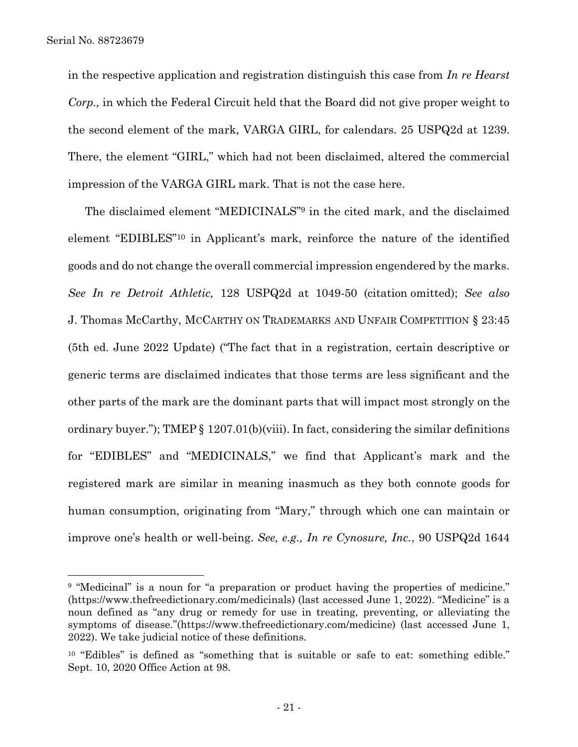in the respective application and registration distinguish this case from *In re Hearst Corp.,* in which the Federal Circuit held that the Board did not give proper weight to the second element of the mark, VARGA GIRL, for calendars. 25 USPQ2d at 1239. There, the element "GIRL," which had not been disclaimed, altered the commercial impression of the VARGA GIRL mark. That is not the case here.

The disclaimed element "MEDICINALS" <sup>9</sup> in the cited mark, and the disclaimed element "EDIBLES"<sup>10</sup> in Applicant's mark, reinforce the nature of the identified goods and do not change the overall commercial impression engendered by the marks. *See In re Detroit Athletic,* 128 USPQ2d at 1049-50 (citation omitted); *See also*  J. Thomas McCarthy, MCCARTHY ON TRADEMARKS AND UNFAIR COMPETITION § 23:45 (5th ed. June 2022 Update) ("The fact that in a registration, certain descriptive or generic terms are disclaimed indicates that those terms are less significant and the other parts of the mark are the dominant parts that will impact most strongly on the ordinary buyer."); TMEP § 1207.01(b)(viii). In fact, considering the similar definitions for "EDIBLES" and "MEDICINALS," we find that Applicant's mark and the registered mark are similar in meaning inasmuch as they both connote goods for human consumption, originating from "Mary," through which one can maintain or improve one's health or well-being. *See, e.g., In re Cynosure, Inc.*, 90 USPQ2d 1644

<sup>&</sup>lt;sup>9</sup> "Medicinal" is a noun for "a preparation or product having the properties of medicine." (https://www.thefreedictionary.com/medicinals) (last accessed June 1, 2022). "Medicine" is a noun defined as "any drug or remedy for use in treating, preventing, or alleviating the symptoms of disease."(https://www.thefreedictionary.com/medicine) (last accessed June 1, 2022). We take judicial notice of these definitions.

<sup>10</sup> "Edibles" is defined as "something that is suitable or safe to eat: something edible." Sept. 10, 2020 Office Action at 98.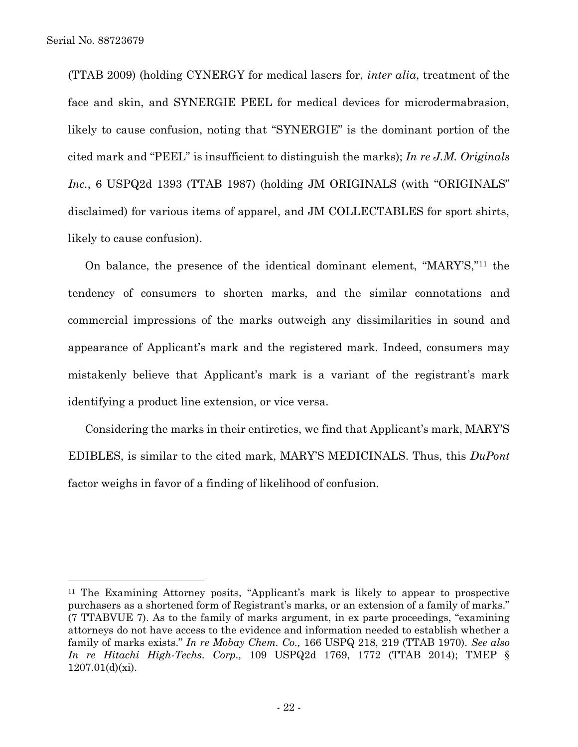(TTAB 2009) (holding CYNERGY for medical lasers for, *inter alia*, treatment of the face and skin, and SYNERGIE PEEL for medical devices for microdermabrasion, likely to cause confusion, noting that "SYNERGIE" is the dominant portion of the cited mark and "PEEL" is insufficient to distinguish the marks); *In re J.M. Originals Inc.*, 6 USPQ2d 1393 (TTAB 1987) (holding JM ORIGINALS (with "ORIGINALS" disclaimed) for various items of apparel, and JM COLLECTABLES for sport shirts, likely to cause confusion).

On balance, the presence of the identical dominant element, "MARY'S,"<sup>11</sup> the tendency of consumers to shorten marks, and the similar connotations and commercial impressions of the marks outweigh any dissimilarities in sound and appearance of Applicant's mark and the registered mark. Indeed, consumers may mistakenly believe that Applicant's mark is a variant of the registrant's mark identifying a product line extension, or vice versa.

Considering the marks in their entireties, we find that Applicant's mark, MARY'S EDIBLES, is similar to the cited mark, MARY'S MEDICINALS. Thus, this *DuPont*  factor weighs in favor of a finding of likelihood of confusion.

<sup>11</sup> The Examining Attorney posits, "Applicant's mark is likely to appear to prospective purchasers as a shortened form of Registrant's marks, or an extension of a family of marks." (7 TTABVUE 7). As to the family of marks argument, in ex parte proceedings, "examining attorneys do not have access to the evidence and information needed to establish whether a family of marks exists." *In re Mobay Chem. Co.,* 166 USPQ 218, 219 (TTAB 1970). *See also In re Hitachi High-Techs. Corp.,* 109 USPQ2d 1769, 1772 (TTAB 2014); TMEP § 1207.01(d)(xi).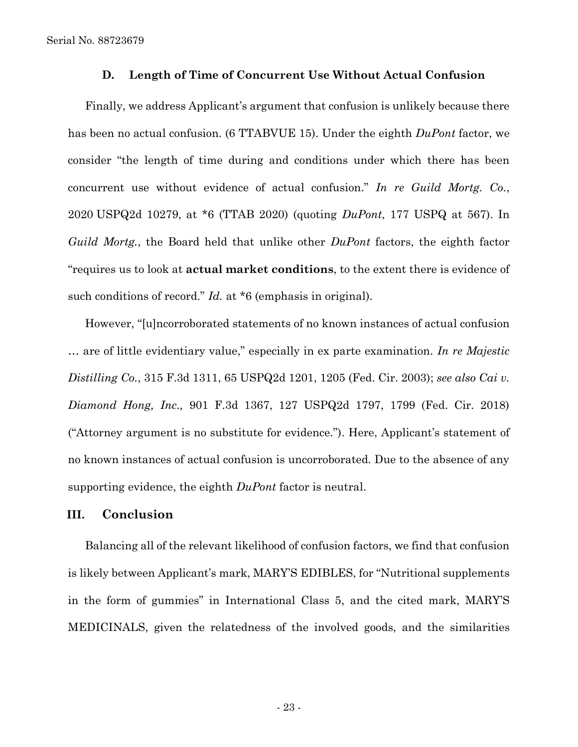Serial No. 88723679

#### **D. Length of Time of Concurrent Use Without Actual Confusion**

Finally, we address Applicant's argument that confusion is unlikely because there has been no actual confusion. (6 TTABVUE 15). Under the eighth *DuPont* factor, we consider "the length of time during and conditions under which there has been concurrent use without evidence of actual confusion." *In re Guild Mortg. Co.*, 2020 USPQ2d 10279, at \*6 (TTAB 2020) (quoting *DuPont*, 177 USPQ at 567). In *Guild Mortg.*, the Board held that unlike other *DuPont* factors, the eighth factor "requires us to look at **actual market conditions**, to the extent there is evidence of such conditions of record." *Id.* at \*6 (emphasis in original).

However, "[u]ncorroborated statements of no known instances of actual confusion … are of little evidentiary value," especially in ex parte examination. *In re Majestic Distilling Co.*, 315 F.3d 1311, 65 USPQ2d 1201, 1205 (Fed. Cir. 2003); *see also Cai v. Diamond Hong, Inc.,* 901 F.3d 1367, 127 USPQ2d 1797, 1799 (Fed. Cir. 2018) ("Attorney argument is no substitute for evidence."). Here, Applicant's statement of no known instances of actual confusion is uncorroborated. Due to the absence of any supporting evidence, the eighth *DuPont* factor is neutral.

### **III. Conclusion**

Balancing all of the relevant likelihood of confusion factors, we find that confusion is likely between Applicant's mark, MARY'S EDIBLES, for "Nutritional supplements in the form of gummies" in International Class 5, and the cited mark, MARY'S MEDICINALS, given the relatedness of the involved goods, and the similarities